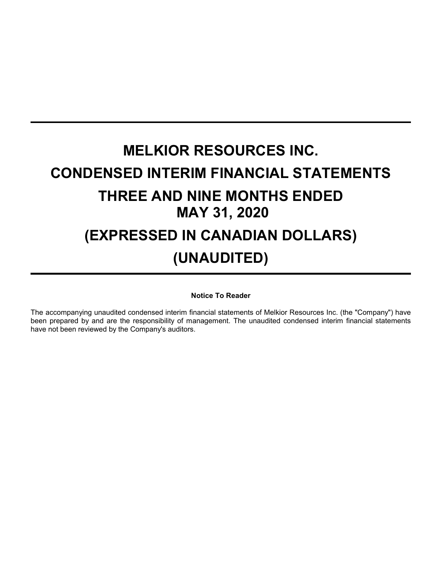# **MELKIOR RESOURCES INC. CONDENSED INTERIM FINANCIAL STATEMENTS THREE AND NINE MONTHS ENDED MAY 31, 2020 (EXPRESSED IN CANADIAN DOLLARS) (UNAUDITED)**

# **Notice To Reader**

The accompanying unaudited condensed interim financial statements of Melkior Resources Inc. (the "Company") have been prepared by and are the responsibility of management. The unaudited condensed interim financial statements have not been reviewed by the Company's auditors.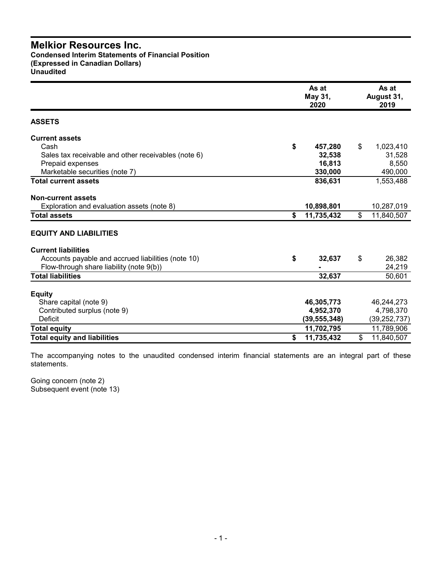**Condensed Interim Statements of Financial Position (Expressed in Canadian Dollars) Unaudited**

|                                                     | As at<br>May 31,<br>2020 | As at<br>August 31,<br>2019 |
|-----------------------------------------------------|--------------------------|-----------------------------|
| <b>ASSETS</b>                                       |                          |                             |
| <b>Current assets</b>                               |                          |                             |
| Cash                                                | \$<br>457,280            | \$<br>1,023,410             |
| Sales tax receivable and other receivables (note 6) | 32,538                   | 31,528                      |
| Prepaid expenses                                    | 16,813                   | 8,550                       |
| Marketable securities (note 7)                      | 330,000                  | 490,000                     |
| <b>Total current assets</b>                         | 836,631                  | 1,553,488                   |
| <b>Non-current assets</b>                           |                          |                             |
| Exploration and evaluation assets (note 8)          | 10,898,801               | 10,287,019                  |
| <b>Total assets</b>                                 | \$<br>11,735,432         | \$<br>11,840,507            |
| <b>EQUITY AND LIABILITIES</b>                       |                          |                             |
| <b>Current liabilities</b>                          |                          |                             |
| Accounts payable and accrued liabilities (note 10)  | \$<br>32,637             | \$<br>26,382                |
| Flow-through share liability (note 9(b))            |                          | 24,219                      |
| <b>Total liabilities</b>                            | 32,637                   | 50,601                      |
| <b>Equity</b>                                       |                          |                             |
| Share capital (note 9)                              | 46,305,773               | 46,244,273                  |
| Contributed surplus (note 9)                        | 4,952,370                | 4,798,370                   |
| <b>Deficit</b>                                      | (39,555,348)             | (39,252,737)                |
| <b>Total equity</b>                                 | 11,702,795               | 11,789,906                  |
| <b>Total equity and liabilities</b>                 | \$<br>11,735,432         | \$<br>11,840,507            |

The accompanying notes to the unaudited condensed interim financial statements are an integral part of these statements.

Going concern (note 2) Subsequent event (note 13)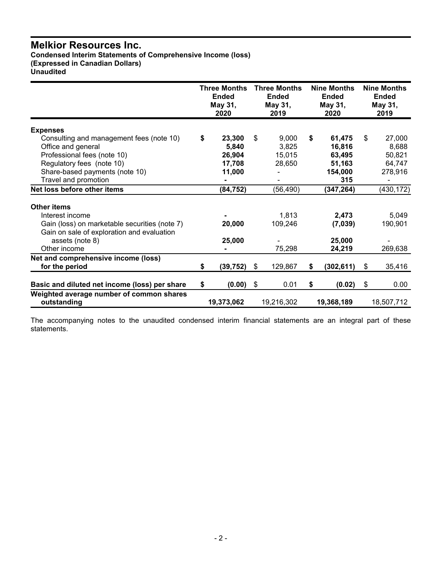**Condensed Interim Statements of Comprehensive Income (loss) (Expressed in Canadian Dollars) Unaudited**

|                                                             | <b>Three Months</b><br><b>Ended</b><br>May 31,<br>2020 | <b>Three Months</b><br><b>Ended</b><br>May 31,<br>2019 |    | <b>Nine Months</b><br><b>Ended</b><br>May 31,<br>2020 | <b>Nine Months</b><br><b>Ended</b><br>May 31,<br>2019 |
|-------------------------------------------------------------|--------------------------------------------------------|--------------------------------------------------------|----|-------------------------------------------------------|-------------------------------------------------------|
|                                                             |                                                        |                                                        |    |                                                       |                                                       |
| <b>Expenses</b><br>Consulting and management fees (note 10) | \$<br>23,300                                           | \$<br>9,000                                            | \$ | 61,475                                                | \$<br>27,000                                          |
| Office and general                                          | 5,840                                                  | 3,825                                                  |    | 16,816                                                | 8,688                                                 |
| Professional fees (note 10)                                 | 26,904                                                 | 15,015                                                 |    | 63,495                                                | 50,821                                                |
| Regulatory fees (note 10)                                   | 17,708                                                 | 28,650                                                 |    | 51,163                                                | 64,747                                                |
| Share-based payments (note 10)                              | 11,000                                                 |                                                        |    | 154,000                                               | 278,916                                               |
| Travel and promotion                                        |                                                        |                                                        |    | 315                                                   |                                                       |
| Net loss before other items                                 | (84, 752)                                              | (56, 490)                                              |    | (347, 264)                                            | (430,172)                                             |
| <b>Other items</b>                                          |                                                        |                                                        |    |                                                       |                                                       |
| Interest income                                             |                                                        | 1,813                                                  |    | 2,473                                                 | 5,049                                                 |
| Gain (loss) on marketable securities (note 7)               | 20,000                                                 | 109,246                                                |    | (7,039)                                               | 190,901                                               |
| Gain on sale of exploration and evaluation                  |                                                        |                                                        |    |                                                       |                                                       |
| assets (note 8)                                             | 25,000                                                 |                                                        |    | 25,000                                                |                                                       |
| Other income                                                |                                                        | 75,298                                                 |    | 24,219                                                | 269,638                                               |
| Net and comprehensive income (loss)                         |                                                        |                                                        |    |                                                       |                                                       |
| for the period                                              | \$<br>(39, 752)                                        | \$<br>129,867                                          | S. | (302, 611)                                            | \$<br>35,416                                          |
| Basic and diluted net income (loss) per share               | \$<br>(0.00)                                           | \$<br>0.01                                             | \$ | (0.02)                                                | \$<br>0.00                                            |
| Weighted average number of common shares<br>outstanding     | 19,373,062                                             | 19,216,302                                             |    | 19,368,189                                            | 18,507,712                                            |

The accompanying notes to the unaudited condensed interim financial statements are an integral part of these statements.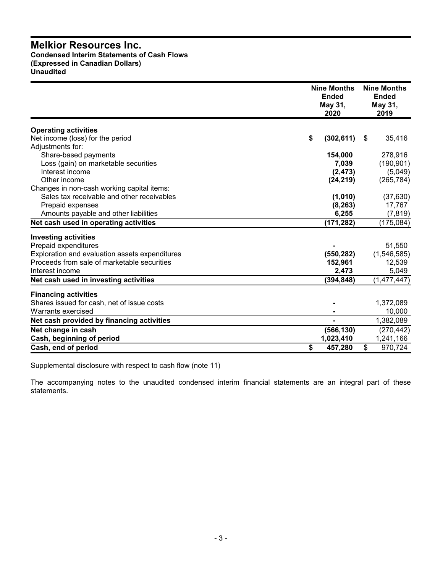# **Melkior Resources Inc. Condensed Interim Statements of Cash Flows (Expressed in Canadian Dollars) Unaudited**

|                                                | <b>Nine Months</b><br><b>Ended</b><br>May 31,<br>2020 | <b>Nine Months</b><br><b>Ended</b><br>May 31,<br>2019 |  |
|------------------------------------------------|-------------------------------------------------------|-------------------------------------------------------|--|
| <b>Operating activities</b>                    |                                                       |                                                       |  |
| Net income (loss) for the period               | (302, 611)<br>\$                                      | 35,416<br>-\$                                         |  |
| Adjustments for:                               |                                                       |                                                       |  |
| Share-based payments                           | 154,000                                               | 278,916                                               |  |
| Loss (gain) on marketable securities           | 7,039                                                 | (190, 901)                                            |  |
| Interest income                                | (2, 473)                                              | (5,049)                                               |  |
| Other income                                   | (24, 219)                                             | (265, 784)                                            |  |
| Changes in non-cash working capital items:     |                                                       |                                                       |  |
| Sales tax receivable and other receivables     | (1,010)                                               | (37, 630)                                             |  |
| Prepaid expenses                               | (8, 263)                                              | 17,767                                                |  |
| Amounts payable and other liabilities          | 6,255                                                 | (7, 819)                                              |  |
| Net cash used in operating activities          | (171, 282)                                            | (175, 084)                                            |  |
| <b>Investing activities</b>                    |                                                       |                                                       |  |
| Prepaid expenditures                           |                                                       | 51,550                                                |  |
| Exploration and evaluation assets expenditures | (550, 282)                                            | (1,546,585)                                           |  |
| Proceeds from sale of marketable securities    | 152,961                                               | 12,539                                                |  |
| Interest income                                | 2,473                                                 | 5,049                                                 |  |
| Net cash used in investing activities          | (394, 848)                                            | (1,477,447)                                           |  |
| <b>Financing activities</b>                    |                                                       |                                                       |  |
| Shares issued for cash, net of issue costs     |                                                       | 1,372,089                                             |  |
| Warrants exercised                             |                                                       | 10,000                                                |  |
| Net cash provided by financing activities      |                                                       | 1,382,089                                             |  |
| Net change in cash                             | (566, 130)                                            | (270, 442)                                            |  |
| Cash, beginning of period                      | 1,023,410                                             | 1,241,166                                             |  |
| Cash, end of period                            | \$<br>457,280                                         | \$<br>970,724                                         |  |

Supplemental disclosure with respect to cash flow (note 11)

The accompanying notes to the unaudited condensed interim financial statements are an integral part of these statements.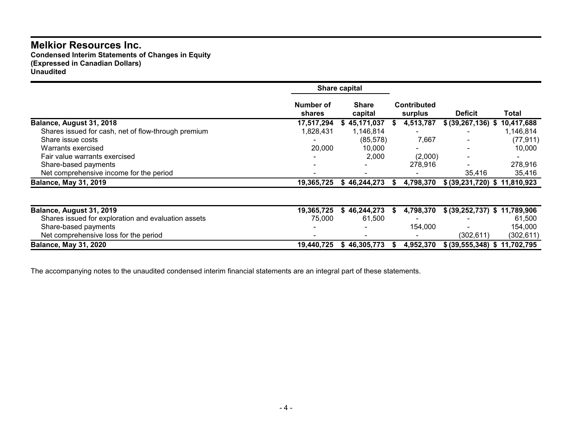**Condensed Interim Statements of Changes in Equity (Expressed in Canadian Dollars) Unaudited**

|                                                     |                     | Share capital           |                               |                               |            |
|-----------------------------------------------------|---------------------|-------------------------|-------------------------------|-------------------------------|------------|
|                                                     | Number of<br>shares | <b>Share</b><br>capital | <b>Contributed</b><br>surplus | <b>Deficit</b>                | Total      |
| Balance, August 31, 2018                            | 17,517,294          | \$45,171,037            | 4,513,787<br>S                | \$ (39, 267, 136) \$          | 10,417,688 |
| Shares issued for cash, net of flow-through premium | 1,828,431           | 1,146,814               |                               |                               | 1,146,814  |
| Share issue costs                                   |                     | (85, 578)               | 7,667                         |                               | (77, 911)  |
| Warrants exercised                                  | 20,000              | 10,000                  |                               |                               | 10,000     |
| Fair value warrants exercised                       |                     | 2,000                   | (2,000)                       |                               |            |
| Share-based payments                                |                     |                         | 278,916                       |                               | 278,916    |
| Net comprehensive income for the period             |                     |                         |                               | 35,416                        | 35,416     |
| <b>Balance, May 31, 2019</b>                        | 19,365,725          | 46,244,273<br>Ъ.        | 4,798,370                     | \$ (39,231,720) \$ 11,810,923 |            |
|                                                     |                     |                         |                               |                               |            |
| Balance, August 31, 2019                            | 19,365,725          | 46,244,273<br>S.        | 4,798,370<br>S.               | \$ (39,252,737) \$ 11,789,906 |            |
| Shares issued for exploration and evaluation assets | 75,000              | 61,500                  |                               |                               | 61,500     |
| Share-based payments                                |                     |                         | 154,000                       |                               | 154,000    |
| Net comprehensive loss for the period               |                     |                         |                               | (302,611)                     | (302, 611) |
| <b>Balance, May 31, 2020</b>                        | 19,440,725          | \$46,305,773            | 4,952,370<br>S                | \$ (39,555,348) \$ 11,702,795 |            |

The accompanying notes to the unaudited condensed interim financial statements are an integral part of these statements.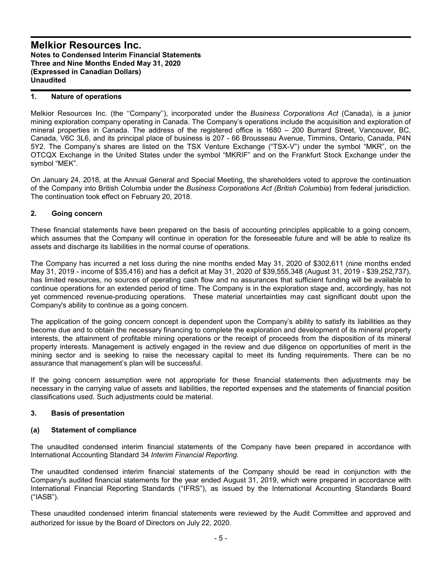## **1. Nature of operations**

Melkior Resources Inc. (the ''Company''), incorporated under the *Business Corporations Act* (Canada), is a junior mining exploration company operating in Canada. The Company's operations include the acquisition and exploration of mineral properties in Canada. The address of the registered office is 1680 – 200 Burrard Street, Vancouver, BC, Canada, V6C 3L6, and its principal place of business is 207 - 66 Brousseau Avenue, Timmins, Ontario, Canada, P4N 5Y2. The Company's shares are listed on the TSX Venture Exchange ("TSX-V") under the symbol "MKR", on the OTCQX Exchange in the United States under the symbol "MKRIF" and on the Frankfurt Stock Exchange under the symbol "MEK".

On January 24, 2018, at the Annual General and Special Meeting, the shareholders voted to approve the continuation of the Company into British Columbia under the *Business Corporations Act (British Columbia*) from federal jurisdiction. The continuation took effect on February 20, 2018.

## **2. Going concern**

These financial statements have been prepared on the basis of accounting principles applicable to a going concern, which assumes that the Company will continue in operation for the foreseeable future and will be able to realize its assets and discharge its liabilities in the normal course of operations.

The Company has incurred a net loss during the nine months ended May 31, 2020 of \$302,611 (nine months ended May 31, 2019 - income of \$35,416) and has a deficit at May 31, 2020 of \$39,555,348 (August 31, 2019 - \$39,252,737), has limited resources, no sources of operating cash flow and no assurances that sufficient funding will be available to continue operations for an extended period of time. The Company is in the exploration stage and, accordingly, has not yet commenced revenue-producing operations. These material uncertainties may cast significant doubt upon the Company's ability to continue as a going concern.

The application of the going concern concept is dependent upon the Company's ability to satisfy its liabilities as they become due and to obtain the necessary financing to complete the exploration and development of its mineral property interests, the attainment of profitable mining operations or the receipt of proceeds from the disposition of its mineral property interests. Management is actively engaged in the review and due diligence on opportunities of merit in the mining sector and is seeking to raise the necessary capital to meet its funding requirements. There can be no assurance that management's plan will be successful.

If the going concern assumption were not appropriate for these financial statements then adjustments may be necessary in the carrying value of assets and liabilities, the reported expenses and the statements of financial position classifications used. Such adjustments could be material.

## **3. Basis of presentation**

#### **(a) Statement of compliance**

The unaudited condensed interim financial statements of the Company have been prepared in accordance with International Accounting Standard 34 *Interim Financial Reporting*.

The unaudited condensed interim financial statements of the Company should be read in conjunction with the Company's audited financial statements for the year ended August 31, 2019, which were prepared in accordance with International Financial Reporting Standards ("IFRS"), as issued by the International Accounting Standards Board ("IASB").

These unaudited condensed interim financial statements were reviewed by the Audit Committee and approved and authorized for issue by the Board of Directors on July 22, 2020.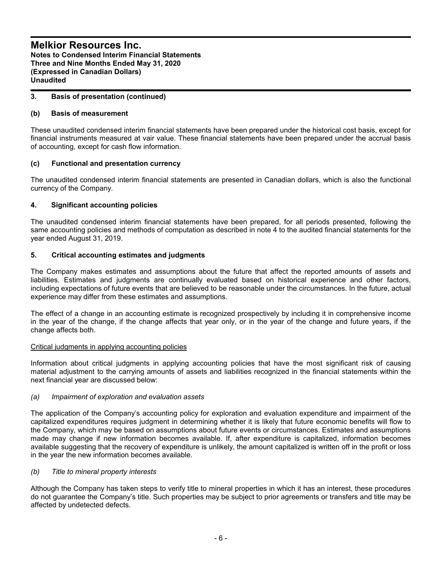# **3. Basis of presentation (continued)**

# **(b) Basis of measurement**

These unaudited condensed interim financial statements have been prepared under the historical cost basis, except for financial instruments measured at vair value. These financial statements have been prepared under the accrual basis of accounting, except for cash flow information.

# **(c) Functional and presentation currency**

The unaudited condensed interim financial statements are presented in Canadian dollars, which is also the functional currency of the Company.

# **4. Significant accounting policies**

The unaudited condensed interim financial statements have been prepared, for all periods presented, following the same accounting policies and methods of computation as described in note 4 to the audited financial statements for the year ended August 31, 2019.

# **5. Critical accounting estimates and judgments**

The Company makes estimates and assumptions about the future that affect the reported amounts of assets and liabilities. Estimates and judgments are continually evaluated based on historical experience and other factors, including expectations of future events that are believed to be reasonable under the circumstances. In the future, actual experience may differ from these estimates and assumptions.

The effect of a change in an accounting estimate is recognized prospectively by including it in comprehensive income in the year of the change, if the change affects that year only, or in the year of the change and future years, if the change affects both.

## Critical judgments in applying accounting policies

Information about critical judgments in applying accounting policies that have the most significant risk of causing material adjustment to the carrying amounts of assets and liabilities recognized in the financial statements within the next financial year are discussed below:

## *(a) Impairment of exploration and evaluation assets*

The application of the Company's accounting policy for exploration and evaluation expenditure and impairment of the capitalized expenditures requires judgment in determining whether it is likely that future economic benefits will flow to the Company, which may be based on assumptions about future events or circumstances. Estimates and assumptions made may change if new information becomes available. If, after expenditure is capitalized, information becomes available suggesting that the recovery of expenditure is unlikely, the amount capitalized is written off in the profit or loss in the year the new information becomes available.

## *(b) Title to mineral property interests*

Although the Company has taken steps to verify title to mineral properties in which it has an interest, these procedures do not guarantee the Company's title. Such properties may be subject to prior agreements or transfers and title may be affected by undetected defects.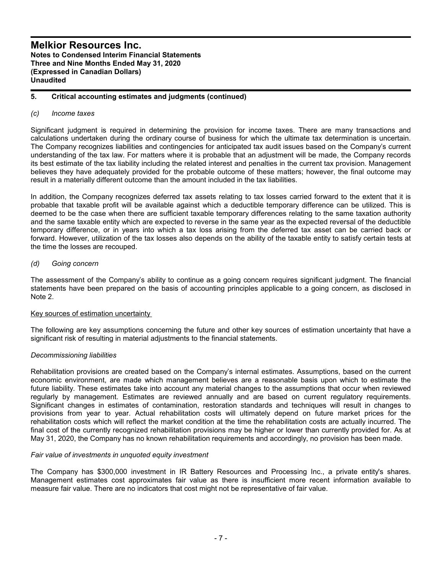## **5. Critical accounting estimates and judgments (continued)**

## *(c) Income taxes*

Significant judgment is required in determining the provision for income taxes. There are many transactions and calculations undertaken during the ordinary course of business for which the ultimate tax determination is uncertain. The Company recognizes liabilities and contingencies for anticipated tax audit issues based on the Company's current understanding of the tax law. For matters where it is probable that an adjustment will be made, the Company records its best estimate of the tax liability including the related interest and penalties in the current tax provision. Management believes they have adequately provided for the probable outcome of these matters; however, the final outcome may result in a materially different outcome than the amount included in the tax liabilities.

In addition, the Company recognizes deferred tax assets relating to tax losses carried forward to the extent that it is probable that taxable profit will be available against which a deductible temporary difference can be utilized. This is deemed to be the case when there are sufficient taxable temporary differences relating to the same taxation authority and the same taxable entity which are expected to reverse in the same year as the expected reversal of the deductible temporary difference, or in years into which a tax loss arising from the deferred tax asset can be carried back or forward. However, utilization of the tax losses also depends on the ability of the taxable entity to satisfy certain tests at the time the losses are recouped.

# *(d) Going concern*

The assessment of the Company's ability to continue as a going concern requires significant judgment. The financial statements have been prepared on the basis of accounting principles applicable to a going concern, as disclosed in Note 2.

## Key sources of estimation uncertainty

The following are key assumptions concerning the future and other key sources of estimation uncertainty that have a significant risk of resulting in material adjustments to the financial statements.

## *Decommissioning liabilities*

Rehabilitation provisions are created based on the Company's internal estimates. Assumptions, based on the current economic environment, are made which management believes are a reasonable basis upon which to estimate the future liability. These estimates take into account any material changes to the assumptions that occur when reviewed regularly by management. Estimates are reviewed annually and are based on current regulatory requirements. Significant changes in estimates of contamination, restoration standards and techniques will result in changes to provisions from year to year. Actual rehabilitation costs will ultimately depend on future market prices for the rehabilitation costs which will reflect the market condition at the time the rehabilitation costs are actually incurred. The final cost of the currently recognized rehabilitation provisions may be higher or lower than currently provided for. As at May 31, 2020, the Company has no known rehabilitation requirements and accordingly, no provision has been made.

## *Fair value of investments in unquoted equity investment*

The Company has \$300,000 investment in IR Battery Resources and Processing Inc., a private entity's shares. Management estimates cost approximates fair value as there is insufficient more recent information available to measure fair value. There are no indicators that cost might not be representative of fair value.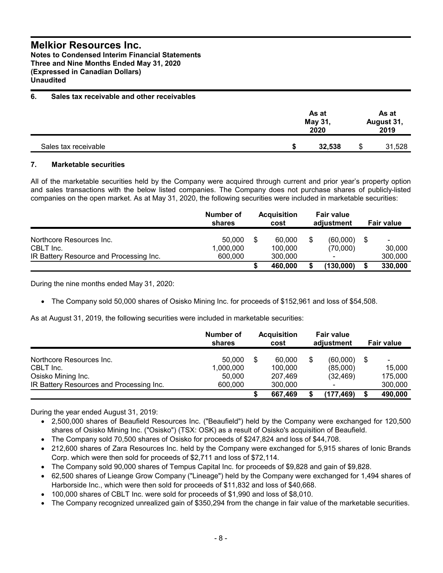**Notes to Condensed Interim Financial Statements Three and Nine Months Ended May 31, 2020 (Expressed in Canadian Dollars) Unaudited**

# **6. Sales tax receivable and other receivables**

|                      | As at<br>As at<br>May 31,<br>August 31,<br>2019<br>2020 |   |        |
|----------------------|---------------------------------------------------------|---|--------|
| Sales tax receivable | 32,538                                                  | S | 31,528 |

# **7. Marketable securities**

All of the marketable securities held by the Company were acquired through current and prior year's property option and sales transactions with the below listed companies. The Company does not purchase shares of publicly-listed companies on the open market. As at May 31, 2020, the following securities were included in marketable securities:

|                                         | Number of<br>shares |    | <b>Acquisition</b><br>cost | <b>Fair value</b><br>adjustment |                      | <b>Fair value</b> |                                    |
|-----------------------------------------|---------------------|----|----------------------------|---------------------------------|----------------------|-------------------|------------------------------------|
| Northcore Resources Inc.<br>CBLT Inc.   | 50.000<br>1,000,000 | \$ | 60,000<br>100.000          |                                 | (60.000)<br>(70,000) | -S                | $\overline{\phantom{a}}$<br>30,000 |
| IR Battery Resource and Processing Inc. | 600.000             |    | 300,000<br>460.000         |                                 | (130,000)            | S                 | 300,000<br>330,000                 |

During the nine months ended May 31, 2020:

• The Company sold 50,000 shares of Osisko Mining Inc. for proceeds of \$152,961 and loss of \$54,508.

As at August 31, 2019, the following securities were included in marketable securities:

|                                          | Number of<br>shares | <b>Acquisition</b><br>cost | <b>Fair value</b><br>adjustment |      | <b>Fair value</b> |
|------------------------------------------|---------------------|----------------------------|---------------------------------|------|-------------------|
| Northcore Resources Inc.                 | 50.000              | \$<br>60,000               | (60,000)                        | - \$ | $\blacksquare$    |
| CBLT Inc.                                | 1,000,000           | 100,000                    | (85,000)                        |      | 15,000            |
| Osisko Mining Inc.                       | 50,000              | 207.469                    | (32, 469)                       |      | 175.000           |
| IR Battery Resources and Processing Inc. | 600,000             | 300,000                    |                                 |      | 300,000           |
|                                          |                     | 667,469                    | (177, 469)                      |      | 490,000           |

During the year ended August 31, 2019:

- 2,500,000 shares of Beaufield Resources Inc. ("Beaufield") held by the Company were exchanged for 120,500 shares of Osisko Mining Inc. ("Osisko") (TSX: OSK) as a result of Osisko's acquisition of Beaufield.
- The Company sold 70,500 shares of Osisko for proceeds of \$247,824 and loss of \$44,708.
- 212,600 shares of Zara Resources Inc. held by the Company were exchanged for 5,915 shares of Ionic Brands Corp. which were then sold for proceeds of \$2,711 and loss of \$72,114.
- The Company sold 90,000 shares of Tempus Capital Inc. for proceeds of \$9,828 and gain of \$9,828.
- 62,500 shares of Lieange Grow Company ("Lineage") held by the Company were exchanged for 1,494 shares of Harborside Inc., which were then sold for proceeds of \$11,832 and loss of \$40,668.
- 100,000 shares of CBLT Inc. were sold for proceeds of \$1,990 and loss of \$8,010.
- The Company recognized unrealized gain of \$350,294 from the change in fair value of the marketable securities.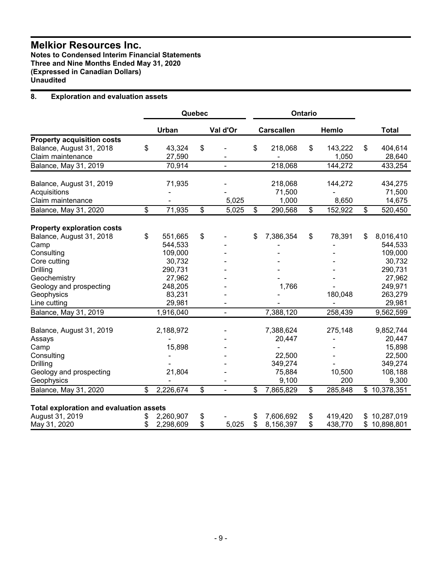**Notes to Condensed Interim Financial Statements Three and Nine Months Ended May 31, 2020 (Expressed in Canadian Dollars) Unaudited**

# **8. Exploration and evaluation assets**

|                                                               | Quebec<br><b>Ontario</b> |                |    |                |                   |               |                  |
|---------------------------------------------------------------|--------------------------|----------------|----|----------------|-------------------|---------------|------------------|
|                                                               |                          | Urban          |    | Val d'Or       | <b>Carscallen</b> | Hemlo         | <b>Total</b>     |
| <b>Property acquisition costs</b>                             |                          |                |    |                |                   |               |                  |
| Balance, August 31, 2018                                      | \$                       | 43,324         | \$ |                | \$<br>218,068     | \$<br>143,222 | \$<br>404,614    |
| Claim maintenance                                             |                          | 27,590         |    |                |                   | 1,050         | 28,640           |
| Balance, May 31, 2019                                         |                          | 70,914         |    | $\blacksquare$ | 218,068           | 144,272       | 433,254          |
| Balance, August 31, 2019                                      |                          | 71,935         |    |                | 218,068           | 144,272       | 434,275          |
| Acquisitions                                                  |                          |                |    |                | 71,500            |               | 71,500           |
| Claim maintenance                                             |                          |                |    | 5,025          | 1,000             | 8,650         | 14,675           |
| Balance, May 31, 2020                                         | \$                       | 71,935         | \$ | 5,025          | \$<br>290,568     | \$<br>152,922 | \$<br>520,450    |
|                                                               |                          |                |    |                |                   |               |                  |
| <b>Property exploration costs</b><br>Balance, August 31, 2018 | \$                       | 551,665        | \$ |                | \$<br>7,386,354   | \$<br>78,391  | \$<br>8,016,410  |
| Camp                                                          |                          | 544,533        |    |                |                   |               | 544,533          |
| Consulting                                                    |                          | 109,000        |    |                |                   |               | 109,000          |
| Core cutting                                                  |                          | 30,732         |    |                |                   |               | 30,732           |
| Drilling                                                      |                          | 290,731        |    |                |                   |               | 290,731          |
| Geochemistry                                                  |                          | 27,962         |    |                |                   |               | 27,962           |
|                                                               |                          | 248,205        |    |                |                   |               | 249,971          |
| Geology and prospecting<br>Geophysics                         |                          | 83,231         |    |                | 1,766             | 180,048       | 263,279          |
| Line cutting                                                  |                          | 29,981         |    |                |                   |               | 29,981           |
|                                                               |                          |                |    |                |                   |               |                  |
| Balance, May 31, 2019                                         |                          | 1,916,040      |    | $\blacksquare$ | 7,388,120         | 258,439       | 9,562,599        |
| Balance, August 31, 2019                                      |                          | 2,188,972      |    |                | 7,388,624         | 275,148       | 9,852,744        |
| Assays                                                        |                          |                |    |                | 20,447            |               | 20,447           |
| Camp                                                          |                          | 15,898         |    |                | $\blacksquare$    |               | 15,898           |
| Consulting                                                    |                          |                |    |                | 22,500            |               | 22,500           |
| Drilling                                                      |                          |                |    |                | 349,274           |               | 349,274          |
| Geology and prospecting                                       |                          | 21,804         |    |                | 75,884            | 10,500        | 108,188          |
| Geophysics                                                    |                          | $\blacksquare$ |    |                | 9,100             | 200           | 9,300            |
| Balance, May 31, 2020                                         | $\overline{\mathcal{S}}$ | 2,226,674      | \$ | ä,             | \$<br>7,865,829   | \$<br>285,848 | \$10,378,351     |
| <b>Total exploration and evaluation assets</b>                |                          |                |    |                |                   |               |                  |
| August 31, 2019                                               | \$                       | 2,260,907      | \$ |                | \$<br>7,606,692   | \$<br>419,420 | 10,287,019       |
| May 31, 2020                                                  | \$                       | 2,298,609      | \$ | 5,025          | \$<br>8,156,397   | \$<br>438,770 | \$<br>10,898,801 |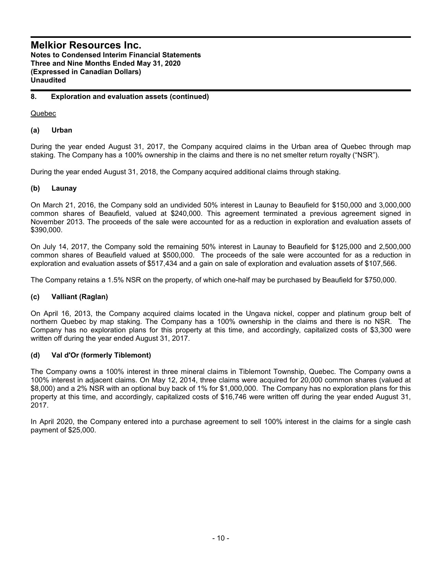# **8. Exploration and evaluation assets (continued)**

Quebec

# **(a) Urban**

During the year ended August 31, 2017, the Company acquired claims in the Urban area of Quebec through map staking. The Company has a 100% ownership in the claims and there is no net smelter return royalty ("NSR").

During the year ended August 31, 2018, the Company acquired additional claims through staking.

# **(b) Launay**

On March 21, 2016, the Company sold an undivided 50% interest in Launay to Beaufield for \$150,000 and 3,000,000 common shares of Beaufield, valued at \$240,000. This agreement terminated a previous agreement signed in November 2013. The proceeds of the sale were accounted for as a reduction in exploration and evaluation assets of \$390,000.

On July 14, 2017, the Company sold the remaining 50% interest in Launay to Beaufield for \$125,000 and 2,500,000 common shares of Beaufield valued at \$500,000. The proceeds of the sale were accounted for as a reduction in exploration and evaluation assets of \$517,434 and a gain on sale of exploration and evaluation assets of \$107,566.

The Company retains a 1.5% NSR on the property, of which one-half may be purchased by Beaufield for \$750,000.

## **(c) Valliant (Raglan)**

On April 16, 2013, the Company acquired claims located in the Ungava nickel, copper and platinum group belt of northern Quebec by map staking. The Company has a 100% ownership in the claims and there is no NSR. The Company has no exploration plans for this property at this time, and accordingly, capitalized costs of \$3,300 were written off during the year ended August 31, 2017.

# **(d) Val d'Or (formerly Tiblemont)**

The Company owns a 100% interest in three mineral claims in Tiblemont Township, Quebec. The Company owns a 100% interest in adjacent claims. On May 12, 2014, three claims were acquired for 20,000 common shares (valued at \$8,000) and a 2% NSR with an optional buy back of 1% for \$1,000,000. The Company has no exploration plans for this property at this time, and accordingly, capitalized costs of \$16,746 were written off during the year ended August 31, 2017.

In April 2020, the Company entered into a purchase agreement to sell 100% interest in the claims for a single cash payment of \$25,000.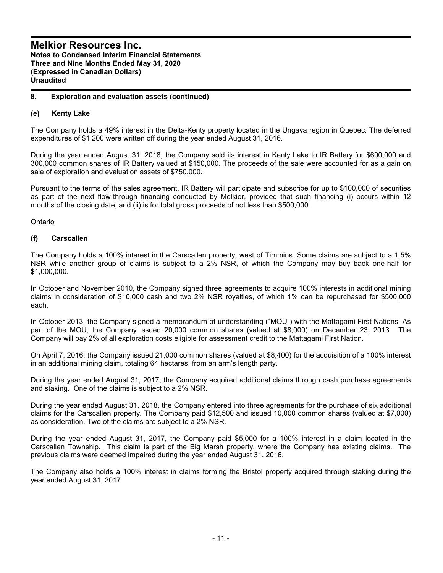## **8. Exploration and evaluation assets (continued)**

## **(e) Kenty Lake**

The Company holds a 49% interest in the Delta-Kenty property located in the Ungava region in Quebec. The deferred expenditures of \$1,200 were written off during the year ended August 31, 2016.

During the year ended August 31, 2018, the Company sold its interest in Kenty Lake to IR Battery for \$600,000 and 300,000 common shares of IR Battery valued at \$150,000. The proceeds of the sale were accounted for as a gain on sale of exploration and evaluation assets of \$750,000.

Pursuant to the terms of the sales agreement, IR Battery will participate and subscribe for up to \$100,000 of securities as part of the next flow-through financing conducted by Melkior, provided that such financing (i) occurs within 12 months of the closing date, and (ii) is for total gross proceeds of not less than \$500,000.

## Ontario

## **(f) Carscallen**

The Company holds a 100% interest in the Carscallen property, west of Timmins. Some claims are subject to a 1.5% NSR while another group of claims is subject to a 2% NSR, of which the Company may buy back one-half for \$1,000,000.

In October and November 2010, the Company signed three agreements to acquire 100% interests in additional mining claims in consideration of \$10,000 cash and two 2% NSR royalties, of which 1% can be repurchased for \$500,000 each.

In October 2013, the Company signed a memorandum of understanding ("MOU") with the Mattagami First Nations. As part of the MOU, the Company issued 20,000 common shares (valued at \$8,000) on December 23, 2013. The Company will pay 2% of all exploration costs eligible for assessment credit to the Mattagami First Nation.

On April 7, 2016, the Company issued 21,000 common shares (valued at \$8,400) for the acquisition of a 100% interest in an additional mining claim, totaling 64 hectares, from an arm's length party.

During the year ended August 31, 2017, the Company acquired additional claims through cash purchase agreements and staking. One of the claims is subject to a 2% NSR.

During the year ended August 31, 2018, the Company entered into three agreements for the purchase of six additional claims for the Carscallen property. The Company paid \$12,500 and issued 10,000 common shares (valued at \$7,000) as consideration. Two of the claims are subject to a 2% NSR.

During the year ended August 31, 2017, the Company paid \$5,000 for a 100% interest in a claim located in the Carscallen Township. This claim is part of the Big Marsh property, where the Company has existing claims. The previous claims were deemed impaired during the year ended August 31, 2016.

The Company also holds a 100% interest in claims forming the Bristol property acquired through staking during the year ended August 31, 2017.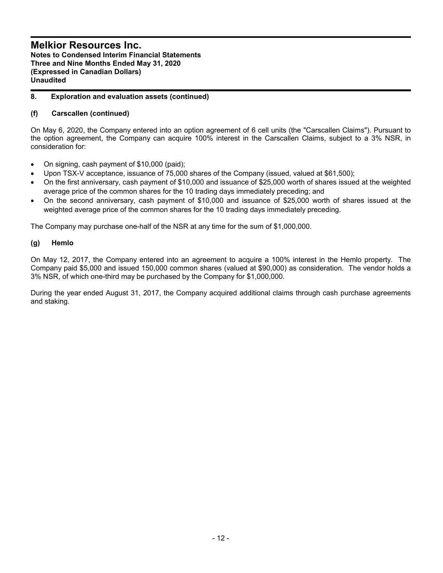# **8. Exploration and evaluation assets (continued)**

# **(f) Carscallen (continued)**

On May 6, 2020, the Company entered into an option agreement of 6 cell units (the "Carscallen Claims"). Pursuant to the option agreement, the Company can acquire 100% interest in the Carscallen Claims, subject to a 3% NSR, in consideration for:

- On signing, cash payment of \$10,000 (paid);
- Upon TSX-V acceptance, issuance of 75,000 shares of the Company (issued, valued at \$61,500);
- On the first anniversary, cash payment of \$10,000 and issuance of \$25,000 worth of shares issued at the weighted average price of the common shares for the 10 trading days immediately preceding; and
- On the second anniversary, cash payment of \$10,000 and issuance of \$25,000 worth of shares issued at the weighted average price of the common shares for the 10 trading days immediately preceding.

The Company may purchase one-half of the NSR at any time for the sum of \$1,000,000.

## **(g) Hemlo**

On May 12, 2017, the Company entered into an agreement to acquire a 100% interest in the Hemlo property. The Company paid \$5,000 and issued 150,000 common shares (valued at \$90,000) as consideration. The vendor holds a 3% NSR, of which one-third may be purchased by the Company for \$1,000,000.

During the year ended August 31, 2017, the Company acquired additional claims through cash purchase agreements and staking.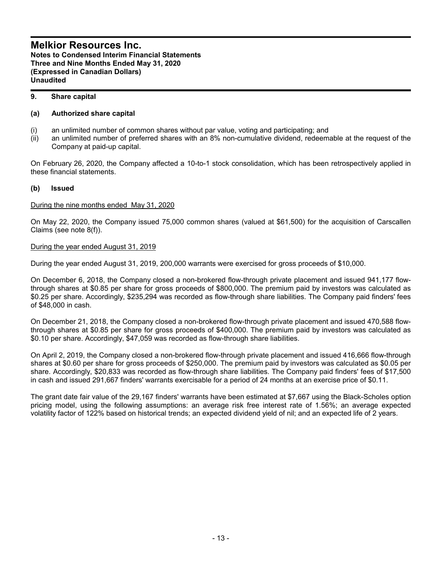# **9. Share capital**

# **(a) Authorized share capital**

- (i) an unlimited number of common shares without par value, voting and participating; and
- (ii) an unlimited number of preferred shares with an 8% non-cumulative dividend, redeemable at the request of the Company at paid-up capital.

On February 26, 2020, the Company affected a 10-to-1 stock consolidation, which has been retrospectively applied in these financial statements.

# **(b) Issued**

## During the nine months ended May 31, 2020

On May 22, 2020, the Company issued 75,000 common shares (valued at \$61,500) for the acquisition of Carscallen Claims (see note 8(f)).

## During the year ended August 31, 2019

During the year ended August 31, 2019, 200,000 warrants were exercised for gross proceeds of \$10,000.

On December 6, 2018, the Company closed a non-brokered flow-through private placement and issued 941,177 flowthrough shares at \$0.85 per share for gross proceeds of \$800,000. The premium paid by investors was calculated as \$0.25 per share. Accordingly, \$235,294 was recorded as flow-through share liabilities. The Company paid finders' fees of \$48,000 in cash.

On December 21, 2018, the Company closed a non-brokered flow-through private placement and issued 470,588 flowthrough shares at \$0.85 per share for gross proceeds of \$400,000. The premium paid by investors was calculated as \$0.10 per share. Accordingly, \$47,059 was recorded as flow-through share liabilities.

On April 2, 2019, the Company closed a non-brokered flow-through private placement and issued 416,666 flow-through shares at \$0.60 per share for gross proceeds of \$250,000. The premium paid by investors was calculated as \$0.05 per share. Accordingly, \$20,833 was recorded as flow-through share liabilities. The Company paid finders' fees of \$17,500 in cash and issued 291,667 finders' warrants exercisable for a period of 24 months at an exercise price of \$0.11.

The grant date fair value of the 29,167 finders' warrants have been estimated at \$7,667 using the Black-Scholes option pricing model, using the following assumptions: an average risk free interest rate of 1.56%; an average expected volatility factor of 122% based on historical trends; an expected dividend yield of nil; and an expected life of 2 years.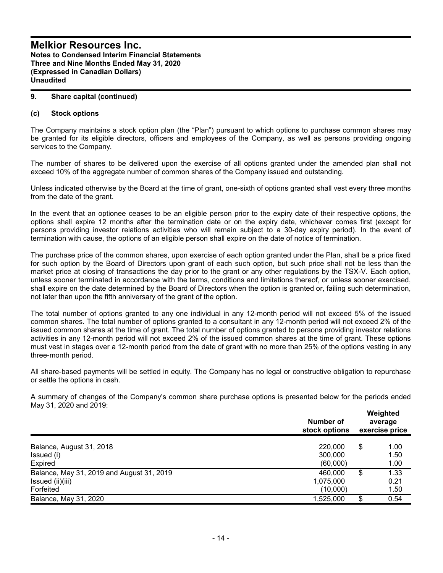## **9. Share capital (continued)**

#### **(c) Stock options**

The Company maintains a stock option plan (the "Plan") pursuant to which options to purchase common shares may be granted for its eligible directors, officers and employees of the Company, as well as persons providing ongoing services to the Company.

The number of shares to be delivered upon the exercise of all options granted under the amended plan shall not exceed 10% of the aggregate number of common shares of the Company issued and outstanding.

Unless indicated otherwise by the Board at the time of grant, one-sixth of options granted shall vest every three months from the date of the grant.

In the event that an optionee ceases to be an eligible person prior to the expiry date of their respective options, the options shall expire 12 months after the termination date or on the expiry date, whichever comes first (except for persons providing investor relations activities who will remain subject to a 30-day expiry period). In the event of termination with cause, the options of an eligible person shall expire on the date of notice of termination.

The purchase price of the common shares, upon exercise of each option granted under the Plan, shall be a price fixed for such option by the Board of Directors upon grant of each such option, but such price shall not be less than the market price at closing of transactions the day prior to the grant or any other regulations by the TSX-V. Each option, unless sooner terminated in accordance with the terms, conditions and limitations thereof, or unless sooner exercised, shall expire on the date determined by the Board of Directors when the option is granted or, failing such determination, not later than upon the fifth anniversary of the grant of the option.

The total number of options granted to any one individual in any 12-month period will not exceed 5% of the issued common shares. The total number of options granted to a consultant in any 12-month period will not exceed 2% of the issued common shares at the time of grant. The total number of options granted to persons providing investor relations activities in any 12-month period will not exceed 2% of the issued common shares at the time of grant. These options must vest in stages over a 12-month period from the date of grant with no more than 25% of the options vesting in any three-month period.

All share-based payments will be settled in equity. The Company has no legal or constructive obligation to repurchase or settle the options in cash.

A summary of changes of the Company's common share purchase options is presented below for the periods ended May 31, 2020 and 2019:

|                                           | Number of<br>stock options | Weighted<br>average<br>exercise price |      |  |
|-------------------------------------------|----------------------------|---------------------------------------|------|--|
| Balance, August 31, 2018                  | 220,000                    | \$                                    | 1.00 |  |
| Issued (i)                                | 300,000                    |                                       | 1.50 |  |
| Expired                                   | (60,000)                   |                                       | 1.00 |  |
| Balance, May 31, 2019 and August 31, 2019 | 460,000                    | S                                     | 1.33 |  |
| Issued (ii)(iii)                          | 1,075,000                  |                                       | 0.21 |  |
| Forfeited                                 | (10,000)                   |                                       | 1.50 |  |
| Balance, May 31, 2020                     | 1,525,000                  | \$                                    | 0.54 |  |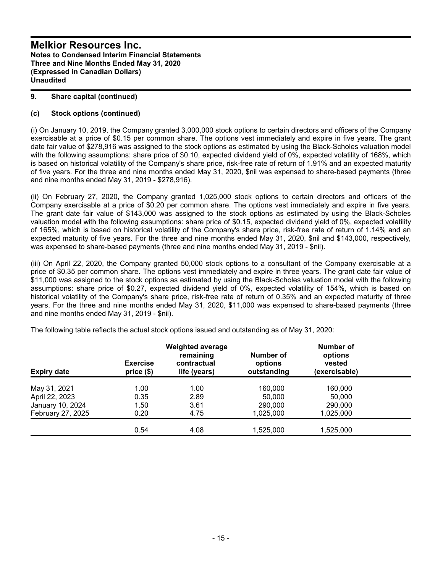## **9. Share capital (continued)**

# **(c) Stock options (continued)**

(i) On January 10, 2019, the Company granted 3,000,000 stock options to certain directors and officers of the Company exercisable at a price of \$0.15 per common share. The options vest immediately and expire in five years. The grant date fair value of \$278,916 was assigned to the stock options as estimated by using the Black-Scholes valuation model with the following assumptions: share price of \$0.10, expected dividend yield of 0%, expected volatility of 168%, which is based on historical volatility of the Company's share price, risk-free rate of return of 1.91% and an expected maturity of five years. For the three and nine months ended May 31, 2020, \$nil was expensed to share-based payments (three and nine months ended May 31, 2019 - \$278,916).

(ii) On February 27, 2020, the Company granted 1,025,000 stock options to certain directors and officers of the Company exercisable at a price of \$0.20 per common share. The options vest immediately and expire in five years. The grant date fair value of \$143,000 was assigned to the stock options as estimated by using the Black-Scholes valuation model with the following assumptions: share price of \$0.15, expected dividend yield of 0%, expected volatility of 165%, which is based on historical volatility of the Company's share price, risk-free rate of return of 1.14% and an expected maturity of five years. For the three and nine months ended May 31, 2020, \$nil and \$143,000, respectively, was expensed to share-based payments (three and nine months ended May 31, 2019 - \$nil).

(iii) On April 22, 2020, the Company granted 50,000 stock options to a consultant of the Company exercisable at a price of \$0.35 per common share. The options vest immediately and expire in three years. The grant date fair value of \$11,000 was assigned to the stock options as estimated by using the Black-Scholes valuation model with the following assumptions: share price of \$0.27, expected dividend yield of 0%, expected volatility of 154%, which is based on historical volatility of the Company's share price, risk-free rate of return of 0.35% and an expected maturity of three years. For the three and nine months ended May 31, 2020, \$11,000 was expensed to share-based payments (three and nine months ended May 31, 2019 - \$nil).

|      | options<br>outstanding                                                       | vested                                 |                                                               |
|------|------------------------------------------------------------------------------|----------------------------------------|---------------------------------------------------------------|
|      |                                                                              |                                        |                                                               |
|      |                                                                              |                                        |                                                               |
| 2.89 | 50,000                                                                       | 50,000                                 |                                                               |
| 3.61 | 290,000                                                                      | 290,000                                |                                                               |
| 4.75 | 1,025,000                                                                    | 1,025,000                              |                                                               |
| 4.08 | 1,525,000                                                                    | 1,525,000                              |                                                               |
|      | <b>Exercise</b><br>price(\$)<br>1.00<br>1.00<br>0.35<br>1.50<br>0.20<br>0.54 | contractual<br>life (years)<br>160,000 | remaining<br>Number of<br>options<br>(exercisable)<br>160,000 |

The following table reflects the actual stock options issued and outstanding as of May 31, 2020: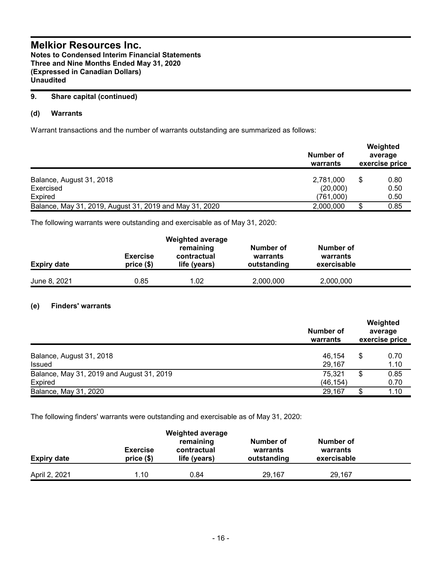# **9. Share capital (continued)**

# **(d) Warrants**

Warrant transactions and the number of warrants outstanding are summarized as follows:

|                                                         | Number of<br>warrants | Weighted<br>average<br>exercise price |              |  |
|---------------------------------------------------------|-----------------------|---------------------------------------|--------------|--|
| Balance, August 31, 2018                                | 2,781,000             | S                                     | 0.80         |  |
| Exercised<br><b>Expired</b>                             | (20,000)<br>(761,000) |                                       | 0.50<br>0.50 |  |
| Balance, May 31, 2019, August 31, 2019 and May 31, 2020 | 2,000,000             |                                       | 0.85         |  |

The following warrants were outstanding and exercisable as of May 31, 2020:

| <b>Expiry date</b> | <b>Exercise</b><br>price(\$) | <b>Weighted average</b><br>remaining<br>contractual<br>life (years) | Number of<br>warrants<br>outstanding | Number of<br>warrants<br>exercisable |  |
|--------------------|------------------------------|---------------------------------------------------------------------|--------------------------------------|--------------------------------------|--|
| June 8, 2021       | 0.85                         | 1.02                                                                | 2,000,000                            | 2,000,000                            |  |

# **(e) Finders' warrants**

| Balance, August 31, 2018<br><b>Issued</b> | Number of<br>warrants | Weighted<br>average<br>exercise price |              |  |
|-------------------------------------------|-----------------------|---------------------------------------|--------------|--|
|                                           | 46.154<br>29.167      | S                                     | 0.70<br>1.10 |  |
| Balance, May 31, 2019 and August 31, 2019 | 75,321                | S                                     | 0.85         |  |
| Expired<br>Balance, May 31, 2020          | (46, 154)<br>29.167   | \$.                                   | 0.70<br>1.10 |  |

The following finders' warrants were outstanding and exercisable as of May 31, 2020:

| <b>Expiry date</b> | <b>Exercise</b><br>price(\$) | <b>Weighted average</b><br>remaining<br>contractual<br>life (years) | Number of<br>warrants<br>outstanding | Number of<br>warrants<br>exercisable |  |
|--------------------|------------------------------|---------------------------------------------------------------------|--------------------------------------|--------------------------------------|--|
| April 2, 2021      | 1.10                         | 0.84                                                                | 29.167                               | 29.167                               |  |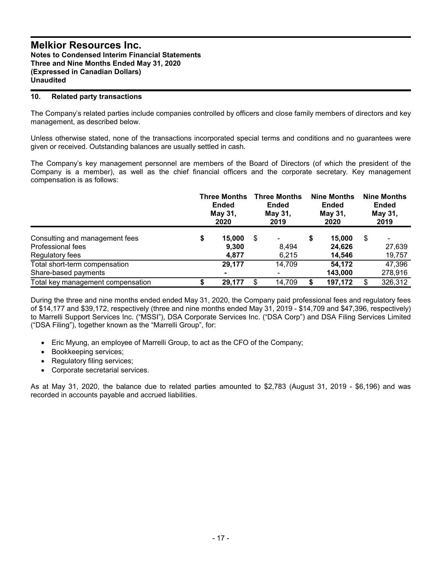## **10. Related party transactions**

The Company's related parties include companies controlled by officers and close family members of directors and key management, as described below.

Unless otherwise stated, none of the transactions incorporated special terms and conditions and no guarantees were given or received. Outstanding balances are usually settled in cash.

The Company's key management personnel are members of the Board of Directors (of which the president of the Company is a member), as well as the chief financial officers and the corporate secretary. Key management compensation is as follows:

|                                                                        | <b>Three Months</b><br><b>Ended</b><br>May 31,<br>2020 |                          | <b>Three Months</b><br><b>Ended</b><br>May 31,<br>2019 |                | <b>Nine Months</b><br><b>Ended</b><br>May 31,<br>2020 |                            | <b>Nine Months</b><br><b>Ended</b><br>May 31,<br>2019 |                       |
|------------------------------------------------------------------------|--------------------------------------------------------|--------------------------|--------------------------------------------------------|----------------|-------------------------------------------------------|----------------------------|-------------------------------------------------------|-----------------------|
| Consulting and management fees<br>Professional fees<br>Regulatory fees | \$                                                     | 15,000<br>9,300<br>4,877 | \$                                                     | 8,494<br>6,215 | S                                                     | 15,000<br>24,626<br>14,546 | \$                                                    | ۰<br>27,639<br>19,757 |
| Total short-term compensation<br>Share-based payments                  |                                                        | 29,177<br>$\blacksquare$ |                                                        | 14,709         |                                                       | 54,172<br>143,000          |                                                       | 47,396<br>278,916     |
| Total key management compensation                                      |                                                        | 29,177                   | \$                                                     | 14,709         |                                                       | 197,172                    | \$                                                    | 326,312               |

During the three and nine months ended ended May 31, 2020, the Company paid professional fees and regulatory fees of \$14,177 and \$39,172, respectively (three and nine months ended May 31, 2019 - \$14,709 and \$47,396, respectively) to Marrelli Support Services Inc. ("MSSI"), DSA Corporate Services Inc. ("DSA Corp") and DSA Filing Services Limited ("DSA Filing"), together known as the "Marrelli Group", for:

- Eric Myung, an employee of Marrelli Group, to act as the CFO of the Company;
- Bookkeeping services;
- Regulatory filing services;
- Corporate secretarial services.

As at May 31, 2020, the balance due to related parties amounted to \$2,783 (August 31, 2019 - \$6,196) and was recorded in accounts payable and accrued liabilities.